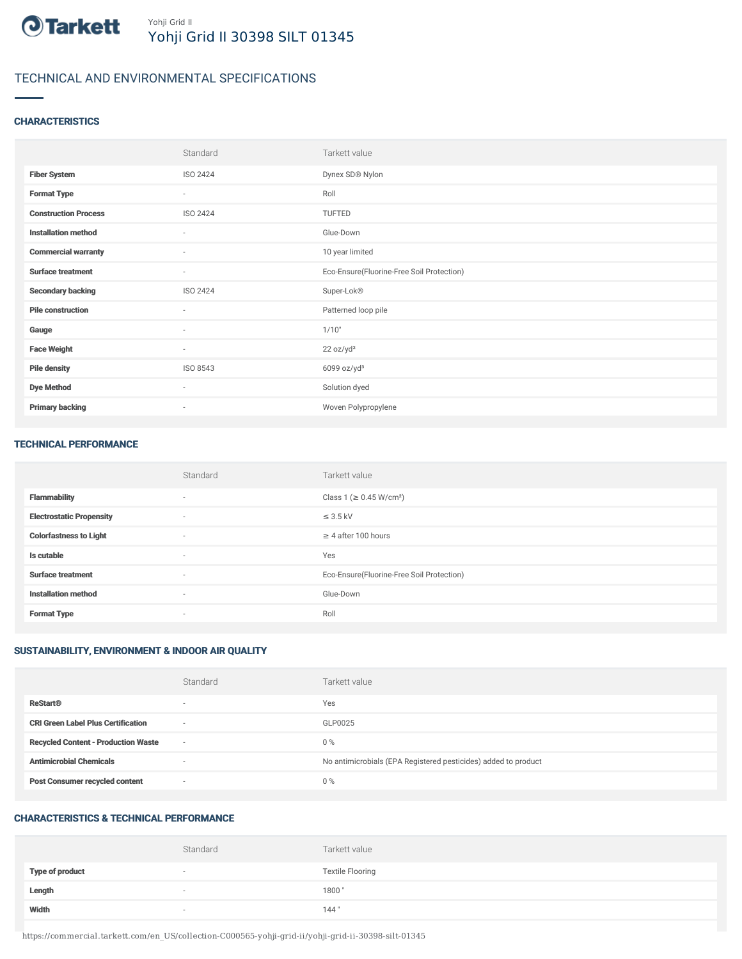

# TECHNICAL AND ENVIRONMENTAL SPECIFICATIONS

### **CHARACTERISTICS**

|                             | Standard                 | Tarkett value                             |
|-----------------------------|--------------------------|-------------------------------------------|
| <b>Fiber System</b>         | ISO 2424                 | Dynex SD® Nylon                           |
| <b>Format Type</b>          | $\sim$                   | Roll                                      |
| <b>Construction Process</b> | ISO 2424                 | TUFTED                                    |
| <b>Installation method</b>  | $\overline{\phantom{a}}$ | Glue-Down                                 |
| <b>Commercial warranty</b>  | $\sim$                   | 10 year limited                           |
| <b>Surface treatment</b>    | $\sim$                   | Eco-Ensure(Fluorine-Free Soil Protection) |
| <b>Secondary backing</b>    | ISO 2424                 | Super-Lok®                                |
| <b>Pile construction</b>    | $\sim$                   | Patterned loop pile                       |
| Gauge                       | $\overline{\phantom{a}}$ | 1/10"                                     |
| <b>Face Weight</b>          | $\sim$                   | 22 oz/yd <sup>2</sup>                     |
| <b>Pile density</b>         | ISO 8543                 | $6099$ oz/yd <sup>3</sup>                 |
| <b>Dye Method</b>           | $\sim$                   | Solution dyed                             |
| <b>Primary backing</b>      | $\overline{\phantom{a}}$ | Woven Polypropylene                       |

#### TECHNICAL PERFORMANCE

|                                 | Standard                 | Tarkett value                             |
|---------------------------------|--------------------------|-------------------------------------------|
| <b>Flammability</b>             | $\sim$                   | Class 1 (≥ 0.45 W/cm <sup>2</sup> )       |
| <b>Electrostatic Propensity</b> | $\sim$                   | $\leq$ 3.5 kV                             |
| <b>Colorfastness to Light</b>   | $\sim$                   | $\geq$ 4 after 100 hours                  |
| Is cutable                      | $\overline{\phantom{a}}$ | Yes                                       |
| <b>Surface treatment</b>        | $\sim$                   | Eco-Ensure(Fluorine-Free Soil Protection) |
| <b>Installation method</b>      | $\sim$                   | Glue-Down                                 |
| <b>Format Type</b>              | $\overline{\phantom{a}}$ | Roll                                      |

## SUSTAINABILITY, ENVIRONMENT & INDOOR AIR QUALITY

|                                            | Standard                 | Tarkett value                                                  |
|--------------------------------------------|--------------------------|----------------------------------------------------------------|
| <b>ReStart®</b>                            | $\overline{\phantom{a}}$ | Yes                                                            |
| <b>CRI Green Label Plus Certification</b>  | $\overline{\phantom{a}}$ | GLP0025                                                        |
| <b>Recycled Content - Production Waste</b> | $\sim$                   | $0\%$                                                          |
| <b>Antimicrobial Chemicals</b>             | $\overline{\phantom{a}}$ | No antimicrobials (EPA Registered pesticides) added to product |
| <b>Post Consumer recycled content</b>      | $\overline{\phantom{a}}$ | $0\%$                                                          |

## CHARACTERISTICS & TECHNICAL PERFORMANCE

|                        | Standard                 | Tarkett value           |
|------------------------|--------------------------|-------------------------|
| <b>Type of product</b> | $\overline{\phantom{a}}$ | <b>Textile Flooring</b> |
| Length                 |                          | 1800"                   |
| Width                  |                          | 144"                    |

https://commercial.tarkett.com/en\_US/collection-C000565-yohji-grid-ii/yohji-grid-ii-30398-silt-01345